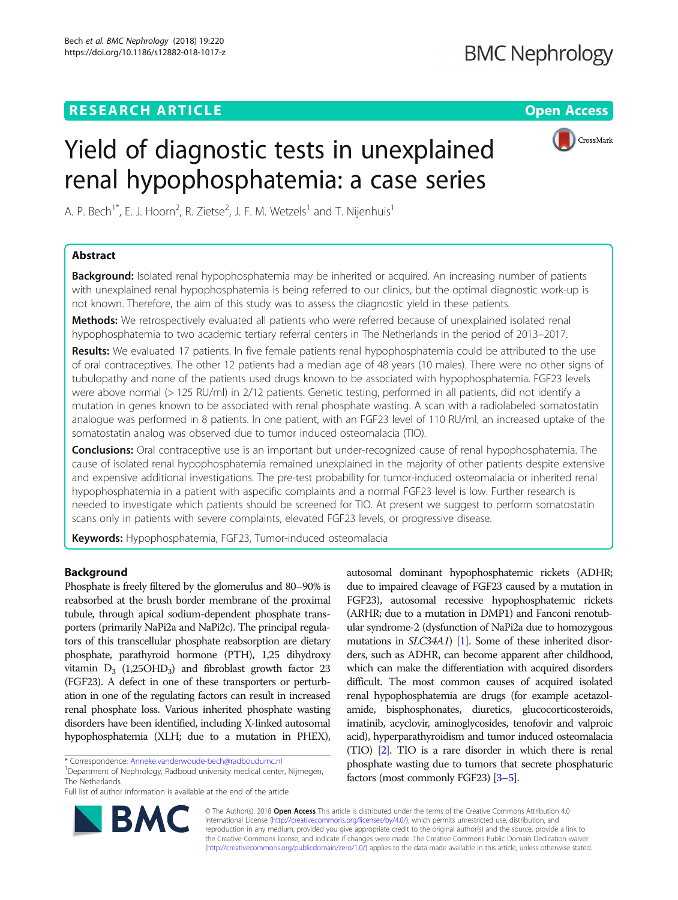## **RESEARCH ARTICLE Example 2018 12:30 THE Open Access**



# Yield of diagnostic tests in unexplained renal hypophosphatemia: a case series

A. P. Bech $^{1*}$ , E. J. Hoorn $^2$ , R. Zietse $^2$ , J. F. M. Wetzels $^1$  and T. Nijenhuis $^1$ 

## Abstract

**Background:** Isolated renal hypophosphatemia may be inherited or acquired. An increasing number of patients with unexplained renal hypophosphatemia is being referred to our clinics, but the optimal diagnostic work-up is not known. Therefore, the aim of this study was to assess the diagnostic yield in these patients.

Methods: We retrospectively evaluated all patients who were referred because of unexplained isolated renal hypophosphatemia to two academic tertiary referral centers in The Netherlands in the period of 2013–2017.

Results: We evaluated 17 patients. In five female patients renal hypophosphatemia could be attributed to the use of oral contraceptives. The other 12 patients had a median age of 48 years (10 males). There were no other signs of tubulopathy and none of the patients used drugs known to be associated with hypophosphatemia. FGF23 levels were above normal (> 125 RU/ml) in 2/12 patients. Genetic testing, performed in all patients, did not identify a mutation in genes known to be associated with renal phosphate wasting. A scan with a radiolabeled somatostatin analogue was performed in 8 patients. In one patient, with an FGF23 level of 110 RU/ml, an increased uptake of the somatostatin analog was observed due to tumor induced osteomalacia (TIO).

**Conclusions:** Oral contraceptive use is an important but under-recognized cause of renal hypophosphatemia. The cause of isolated renal hypophosphatemia remained unexplained in the majority of other patients despite extensive and expensive additional investigations. The pre-test probability for tumor-induced osteomalacia or inherited renal hypophosphatemia in a patient with aspecific complaints and a normal FGF23 level is low. Further research is needed to investigate which patients should be screened for TIO. At present we suggest to perform somatostatin scans only in patients with severe complaints, elevated FGF23 levels, or progressive disease.

Keywords: Hypophosphatemia, FGF23, Tumor-induced osteomalacia

## Background

Phosphate is freely filtered by the glomerulus and 80–90% is reabsorbed at the brush border membrane of the proximal tubule, through apical sodium-dependent phosphate transporters (primarily NaPi2a and NaPi2c). The principal regulators of this transcellular phosphate reabsorption are dietary phosphate, parathyroid hormone (PTH), 1,25 dihydroxy vitamin  $D_3$  (1,25OHD<sub>3</sub>) and fibroblast growth factor 23 (FGF23). A defect in one of these transporters or perturbation in one of the regulating factors can result in increased renal phosphate loss. Various inherited phosphate wasting disorders have been identified, including X-linked autosomal hypophosphatemia (XLH; due to a mutation in PHEX),

Department of Nephrology, Radboud university medical center, Nijmegen, The Netherlands

Full list of author information is available at the end of the article

autosomal dominant hypophosphatemic rickets (ADHR; due to impaired cleavage of FGF23 caused by a mutation in FGF23), autosomal recessive hypophosphatemic rickets (ARHR; due to a mutation in DMP1) and Fanconi renotubular syndrome-2 (dysfunction of NaPi2a due to homozygous mutations in *SLC34A1*) [\[1\]](#page-4-0). Some of these inherited disorders, such as ADHR, can become apparent after childhood, which can make the differentiation with acquired disorders difficult. The most common causes of acquired isolated renal hypophosphatemia are drugs (for example acetazolamide, bisphosphonates, diuretics, glucocorticosteroids, imatinib, acyclovir, aminoglycosides, tenofovir and valproic acid), hyperparathyroidism and tumor induced osteomalacia (TIO) [\[2](#page-4-0)]. TIO is a rare disorder in which there is renal phosphate wasting due to tumors that secrete phosphaturic factors (most commonly FGF23) [\[3](#page-4-0)–[5](#page-4-0)].



© The Author(s). 2018 Open Access This article is distributed under the terms of the Creative Commons Attribution 4.0 International License [\(http://creativecommons.org/licenses/by/4.0/](http://creativecommons.org/licenses/by/4.0/)), which permits unrestricted use, distribution, and reproduction in any medium, provided you give appropriate credit to the original author(s) and the source, provide a link to the Creative Commons license, and indicate if changes were made. The Creative Commons Public Domain Dedication waiver [\(http://creativecommons.org/publicdomain/zero/1.0/](http://creativecommons.org/publicdomain/zero/1.0/)) applies to the data made available in this article, unless otherwise stated.

<sup>\*</sup> Correspondence: [Anneke.vanderwoude-bech@radboudumc.nl](mailto:Anneke.vanderwoude-bech@radboudumc.nl) <sup>1</sup>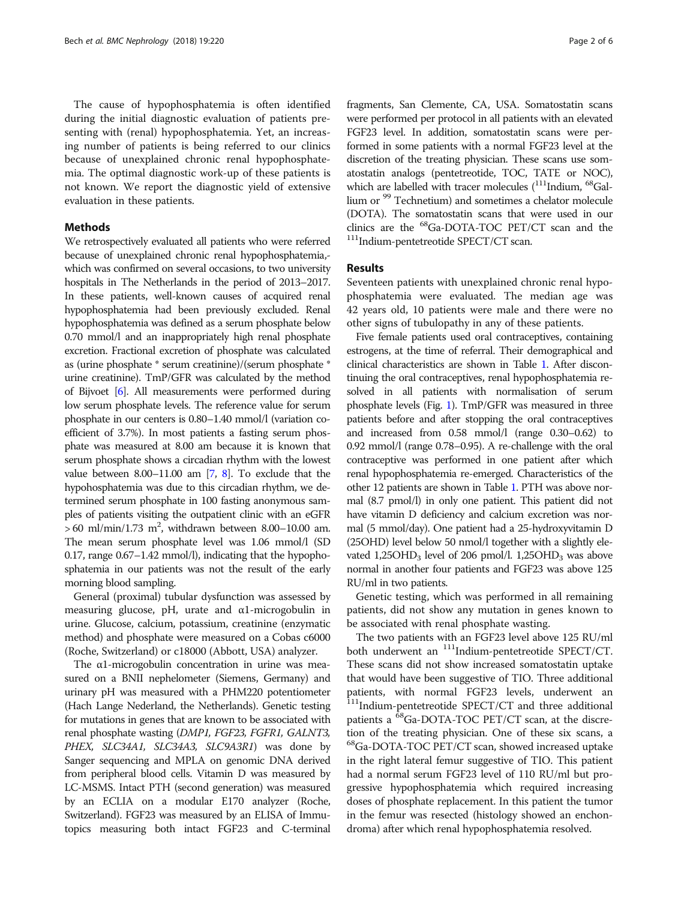The cause of hypophosphatemia is often identified during the initial diagnostic evaluation of patients presenting with (renal) hypophosphatemia. Yet, an increasing number of patients is being referred to our clinics because of unexplained chronic renal hypophosphatemia. The optimal diagnostic work-up of these patients is not known. We report the diagnostic yield of extensive evaluation in these patients.

## Methods

We retrospectively evaluated all patients who were referred because of unexplained chronic renal hypophosphatemia, which was confirmed on several occasions, to two university hospitals in The Netherlands in the period of 2013–2017. In these patients, well-known causes of acquired renal hypophosphatemia had been previously excluded. Renal hypophosphatemia was defined as a serum phosphate below 0.70 mmol/l and an inappropriately high renal phosphate excretion. Fractional excretion of phosphate was calculated as (urine phosphate \* serum creatinine)/(serum phosphate \* urine creatinine). TmP/GFR was calculated by the method of Bijvoet [\[6](#page-4-0)]. All measurements were performed during low serum phosphate levels. The reference value for serum phosphate in our centers is 0.80–1.40 mmol/l (variation coefficient of 3.7%). In most patients a fasting serum phosphate was measured at 8.00 am because it is known that serum phosphate shows a circadian rhythm with the lowest value between 8.00–11.00 am [\[7,](#page-4-0) [8\]](#page-4-0). To exclude that the hypohosphatemia was due to this circadian rhythm, we determined serum phosphate in 100 fasting anonymous samples of patients visiting the outpatient clinic with an eGFR  $> 60 \text{ ml/min}/1.73 \text{ m}^2$ , withdrawn between 8.00–10.00 am. The mean serum phosphate level was 1.06 mmol/l (SD 0.17, range 0.67–1.42 mmol/l), indicating that the hypophosphatemia in our patients was not the result of the early morning blood sampling.

General (proximal) tubular dysfunction was assessed by measuring glucose, pH, urate and α1-microgobulin in urine. Glucose, calcium, potassium, creatinine (enzymatic method) and phosphate were measured on a Cobas c6000 (Roche, Switzerland) or c18000 (Abbott, USA) analyzer.

The α1-microgobulin concentration in urine was measured on a BNII nephelometer (Siemens, Germany) and urinary pH was measured with a PHM220 potentiometer (Hach Lange Nederland, the Netherlands). Genetic testing for mutations in genes that are known to be associated with renal phosphate wasting (DMP1, FGF23, FGFR1, GALNT3, PHEX, SLC34A1, SLC34A3, SLC9A3R1) was done by Sanger sequencing and MPLA on genomic DNA derived from peripheral blood cells. Vitamin D was measured by LC-MSMS. Intact PTH (second generation) was measured by an ECLIA on a modular E170 analyzer (Roche, Switzerland). FGF23 was measured by an ELISA of Immutopics measuring both intact FGF23 and C-terminal fragments, San Clemente, CA, USA. Somatostatin scans were performed per protocol in all patients with an elevated FGF23 level. In addition, somatostatin scans were performed in some patients with a normal FGF23 level at the discretion of the treating physician. These scans use somatostatin analogs (pentetreotide, TOC, TATE or NOC), which are labelled with tracer molecules (<sup>111</sup>Indium, <sup>68</sup>Gallium or <sup>99</sup> Technetium) and sometimes a chelator molecule (DOTA). The somatostatin scans that were used in our clinics are the <sup>68</sup>Ga-DOTA-TOC PET/CT scan and the <sup>111</sup>Indium-pentetreotide SPECT/CT scan.

## Results

Seventeen patients with unexplained chronic renal hypophosphatemia were evaluated. The median age was 42 years old, 10 patients were male and there were no other signs of tubulopathy in any of these patients.

Five female patients used oral contraceptives, containing estrogens, at the time of referral. Their demographical and clinical characteristics are shown in Table [1](#page-2-0). After discontinuing the oral contraceptives, renal hypophosphatemia resolved in all patients with normalisation of serum phosphate levels (Fig. [1\)](#page-2-0). TmP/GFR was measured in three patients before and after stopping the oral contraceptives and increased from 0.58 mmol/l (range 0.30–0.62) to 0.92 mmol/l (range 0.78–0.95). A re-challenge with the oral contraceptive was performed in one patient after which renal hypophosphatemia re-emerged. Characteristics of the other 12 patients are shown in Table [1](#page-2-0). PTH was above normal (8.7 pmol/l) in only one patient. This patient did not have vitamin D deficiency and calcium excretion was normal (5 mmol/day). One patient had a 25-hydroxyvitamin D (25OHD) level below 50 nmol/l together with a slightly elevated 1,25OHD<sub>3</sub> level of 206 pmol/l. 1,25OHD<sub>3</sub> was above normal in another four patients and FGF23 was above 125 RU/ml in two patients.

Genetic testing, which was performed in all remaining patients, did not show any mutation in genes known to be associated with renal phosphate wasting.

The two patients with an FGF23 level above 125 RU/ml both underwent an <sup>111</sup>Indium-pentetreotide SPECT/CT. These scans did not show increased somatostatin uptake that would have been suggestive of TIO. Three additional patients, with normal FGF23 levels, underwent an <sup>111</sup>Indium-pentetreotide SPECT/CT and three additional patients a <sup>68</sup>Ga-DOTA-TOC PET/CT scan, at the discretion of the treating physician. One of these six scans, a <sup>68</sup>Ga-DOTA-TOC PET/CT scan, showed increased uptake in the right lateral femur suggestive of TIO. This patient had a normal serum FGF23 level of 110 RU/ml but progressive hypophosphatemia which required increasing doses of phosphate replacement. In this patient the tumor in the femur was resected (histology showed an enchondroma) after which renal hypophosphatemia resolved.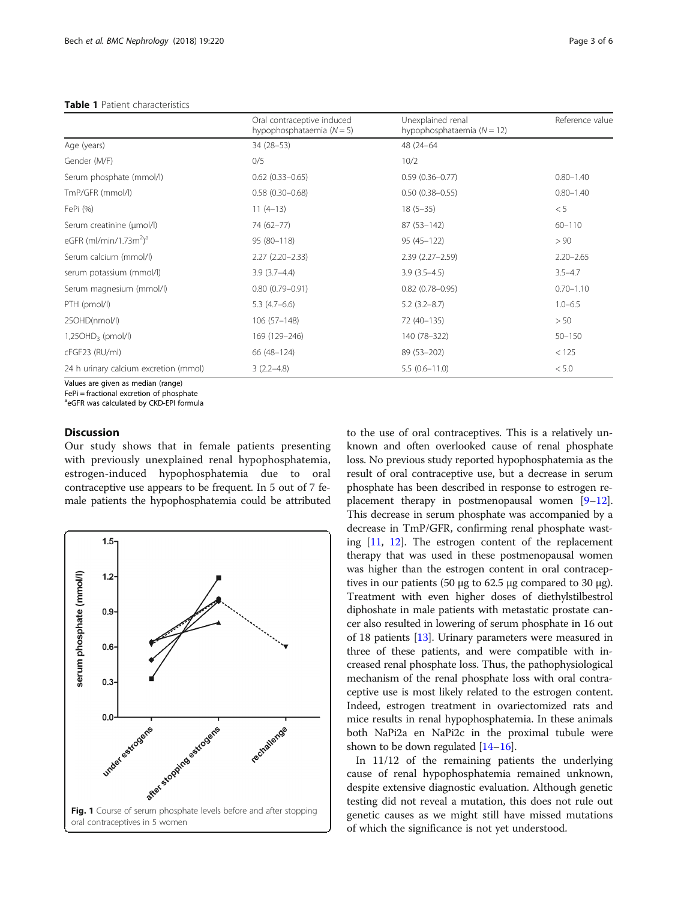<span id="page-2-0"></span>

| <b>Table 1</b> Patient characteristics |  |
|----------------------------------------|--|
|----------------------------------------|--|

|                                                       | Oral contraceptive induced<br>hypophosphataemia $(N = 5)$ | Unexplained renal<br>hypophosphataemia $(N = 12)$ | Reference value |
|-------------------------------------------------------|-----------------------------------------------------------|---------------------------------------------------|-----------------|
| Age (years)                                           | 34 (28-53)                                                | 48 (24-64                                         |                 |
| Gender (M/F)                                          | 0/5                                                       | 10/2                                              |                 |
| Serum phosphate (mmol/l)                              | $0.62$ $(0.33 - 0.65)$                                    | $0.59(0.36 - 0.77)$                               | $0.80 - 1.40$   |
| TmP/GFR (mmol/l)                                      | $0.58(0.30 - 0.68)$                                       | $0.50(0.38 - 0.55)$                               | $0.80 - 1.40$   |
| FePi (%)                                              | $11(4-13)$                                                | $18(5-35)$                                        | < 5             |
| Serum creatinine (µmol/l)                             | 74 (62-77)                                                | 87 (53-142)                                       | $60 - 110$      |
| eGFR (ml/min/1.73m <sup>2</sup> ) <sup>a</sup>        | 95 (80-118)                                               | $95(45-122)$                                      | > 90            |
| Serum calcium (mmol/l)                                | $2.27(2.20 - 2.33)$                                       | $2.39(2.27 - 2.59)$                               | $2.20 - 2.65$   |
| serum potassium (mmol/l)                              | $3.9(3.7 - 4.4)$                                          | $3.9(3.5-4.5)$                                    | $3.5 - 4.7$     |
| Serum magnesium (mmol/l)                              | $0.80(0.79 - 0.91)$                                       | $0.82(0.78 - 0.95)$                               | $0.70 - 1.10$   |
| PTH (pmol/l)                                          | $5.3(4.7-6.6)$                                            | $5.2(3.2 - 8.7)$                                  | $1.0 - 6.5$     |
| 25OHD(nmol/l)                                         | $106(57-148)$                                             | 72 (40-135)                                       | > 50            |
| $1,25OHD3$ (pmol/l)                                   | 169 (129-246)                                             | 140 (78-322)                                      | $50 - 150$      |
| cFGF23 (RU/ml)                                        | 66 (48-124)                                               | 89 (53-202)                                       | < 125           |
| 24 h urinary calcium excretion (mmol)<br>$\mathbf{v}$ | $3(2.2 - 4.8)$                                            | $5.5(0.6-11.0)$                                   | < 5.0           |

Values are given as median (range)

FePi = fractional excretion of phosphate <sup>a</sup>eGFR was calculated by CKD-EPI formula

## **Discussion**

Our study shows that in female patients presenting with previously unexplained renal hypophosphatemia, estrogen-induced hypophosphatemia due to oral contraceptive use appears to be frequent. In 5 out of 7 female patients the hypophosphatemia could be attributed



to the use of oral contraceptives. This is a relatively unknown and often overlooked cause of renal phosphate loss. No previous study reported hypophosphatemia as the result of oral contraceptive use, but a decrease in serum phosphate has been described in response to estrogen replacement therapy in postmenopausal women [\[9](#page-4-0)–[12](#page-4-0)]. This decrease in serum phosphate was accompanied by a decrease in TmP/GFR, confirming renal phosphate wasting [\[11](#page-4-0), [12\]](#page-4-0). The estrogen content of the replacement therapy that was used in these postmenopausal women was higher than the estrogen content in oral contraceptives in our patients (50 μg to 62.5 μg compared to 30 μg). Treatment with even higher doses of diethylstilbestrol diphoshate in male patients with metastatic prostate cancer also resulted in lowering of serum phosphate in 16 out of 18 patients [[13](#page-4-0)]. Urinary parameters were measured in three of these patients, and were compatible with increased renal phosphate loss. Thus, the pathophysiological mechanism of the renal phosphate loss with oral contraceptive use is most likely related to the estrogen content. Indeed, estrogen treatment in ovariectomized rats and mice results in renal hypophosphatemia. In these animals both NaPi2a en NaPi2c in the proximal tubule were shown to be down regulated [[14](#page-4-0)–[16\]](#page-4-0).

In 11/12 of the remaining patients the underlying cause of renal hypophosphatemia remained unknown, despite extensive diagnostic evaluation. Although genetic testing did not reveal a mutation, this does not rule out genetic causes as we might still have missed mutations of which the significance is not yet understood.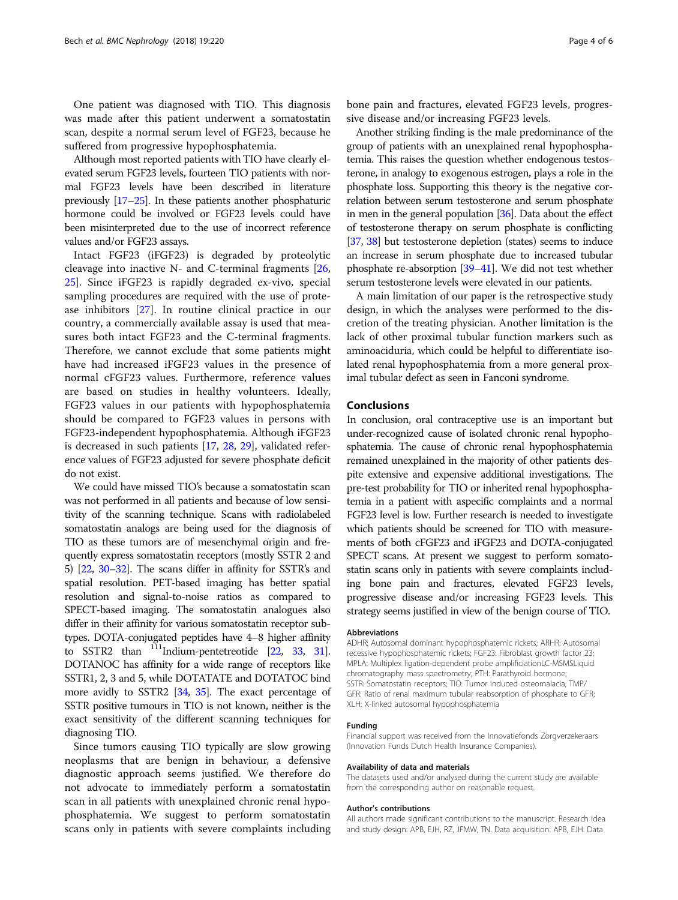One patient was diagnosed with TIO. This diagnosis was made after this patient underwent a somatostatin scan, despite a normal serum level of FGF23, because he suffered from progressive hypophosphatemia.

Although most reported patients with TIO have clearly elevated serum FGF23 levels, fourteen TIO patients with normal FGF23 levels have been described in literature previously [[17](#page-4-0)–[25](#page-4-0)]. In these patients another phosphaturic hormone could be involved or FGF23 levels could have been misinterpreted due to the use of incorrect reference values and/or FGF23 assays.

Intact FGF23 (iFGF23) is degraded by proteolytic cleavage into inactive N- and C-terminal fragments [[26](#page-4-0), [25\]](#page-4-0). Since iFGF23 is rapidly degraded ex-vivo, special sampling procedures are required with the use of protease inhibitors [\[27](#page-4-0)]. In routine clinical practice in our country, a commercially available assay is used that measures both intact FGF23 and the C-terminal fragments. Therefore, we cannot exclude that some patients might have had increased iFGF23 values in the presence of normal cFGF23 values. Furthermore, reference values are based on studies in healthy volunteers. Ideally, FGF23 values in our patients with hypophosphatemia should be compared to FGF23 values in persons with FGF23-independent hypophosphatemia. Although iFGF23 is decreased in such patients [[17](#page-4-0), [28,](#page-4-0) [29\]](#page-4-0), validated reference values of FGF23 adjusted for severe phosphate deficit do not exist.

We could have missed TIO's because a somatostatin scan was not performed in all patients and because of low sensitivity of the scanning technique. Scans with radiolabeled somatostatin analogs are being used for the diagnosis of TIO as these tumors are of mesenchymal origin and frequently express somatostatin receptors (mostly SSTR 2 and 5) [\[22,](#page-4-0) [30](#page-4-0)–[32](#page-4-0)]. The scans differ in affinity for SSTR's and spatial resolution. PET-based imaging has better spatial resolution and signal-to-noise ratios as compared to SPECT-based imaging. The somatostatin analogues also differ in their affinity for various somatostatin receptor subtypes. DOTA-conjugated peptides have 4–8 higher affinity to SSTR2 than  $111$ Indium-pentetreotide [[22,](#page-4-0) [33](#page-4-0), [31](#page-4-0)]. DOTANOC has affinity for a wide range of receptors like SSTR1, 2, 3 and 5, while DOTATATE and DOTATOC bind more avidly to SSTR2 [[34](#page-4-0), [35](#page-4-0)]. The exact percentage of SSTR positive tumours in TIO is not known, neither is the exact sensitivity of the different scanning techniques for diagnosing TIO.

Since tumors causing TIO typically are slow growing neoplasms that are benign in behaviour, a defensive diagnostic approach seems justified. We therefore do not advocate to immediately perform a somatostatin scan in all patients with unexplained chronic renal hypophosphatemia. We suggest to perform somatostatin scans only in patients with severe complaints including

bone pain and fractures, elevated FGF23 levels, progressive disease and/or increasing FGF23 levels.

Another striking finding is the male predominance of the group of patients with an unexplained renal hypophosphatemia. This raises the question whether endogenous testosterone, in analogy to exogenous estrogen, plays a role in the phosphate loss. Supporting this theory is the negative correlation between serum testosterone and serum phosphate in men in the general population [\[36\]](#page-4-0). Data about the effect of testosterone therapy on serum phosphate is conflicting [[37](#page-4-0), [38\]](#page-4-0) but testosterone depletion (states) seems to induce an increase in serum phosphate due to increased tubular phosphate re-absorption [\[39](#page-4-0)–[41\]](#page-5-0). We did not test whether serum testosterone levels were elevated in our patients.

A main limitation of our paper is the retrospective study design, in which the analyses were performed to the discretion of the treating physician. Another limitation is the lack of other proximal tubular function markers such as aminoaciduria, which could be helpful to differentiate isolated renal hypophosphatemia from a more general proximal tubular defect as seen in Fanconi syndrome.

## Conclusions

In conclusion, oral contraceptive use is an important but under-recognized cause of isolated chronic renal hypophosphatemia. The cause of chronic renal hypophosphatemia remained unexplained in the majority of other patients despite extensive and expensive additional investigations. The pre-test probability for TIO or inherited renal hypophosphatemia in a patient with aspecific complaints and a normal FGF23 level is low. Further research is needed to investigate which patients should be screened for TIO with measurements of both cFGF23 and iFGF23 and DOTA-conjugated SPECT scans. At present we suggest to perform somatostatin scans only in patients with severe complaints including bone pain and fractures, elevated FGF23 levels, progressive disease and/or increasing FGF23 levels. This strategy seems justified in view of the benign course of TIO.

#### Abbreviations

ADHR: Autosomal dominant hypophosphatemic rickets; ARHR: Autosomal recessive hypophosphatemic rickets; FGF23: Fibroblast growth factor 23; MPLA: Multiplex ligation-dependent probe amplificiationLC-MSMSLiquid chromatography mass spectrometry; PTH: Parathyroid hormone; SSTR: Somatostatin receptors; TIO: Tumor induced osteomalacia; TMP/ GFR: Ratio of renal maximum tubular reabsorption of phosphate to GFR; XLH: X-linked autosomal hypophosphatemia

#### Funding

Financial support was received from the Innovatiefonds Zorgverzekeraars (Innovation Funds Dutch Health Insurance Companies).

#### Availability of data and materials

The datasets used and/or analysed during the current study are available from the corresponding author on reasonable request.

#### Author's contributions

All authors made significant contributions to the manuscript. Research idea and study design: APB, EJH, RZ, JFMW, TN. Data acquisition: APB, EJH. Data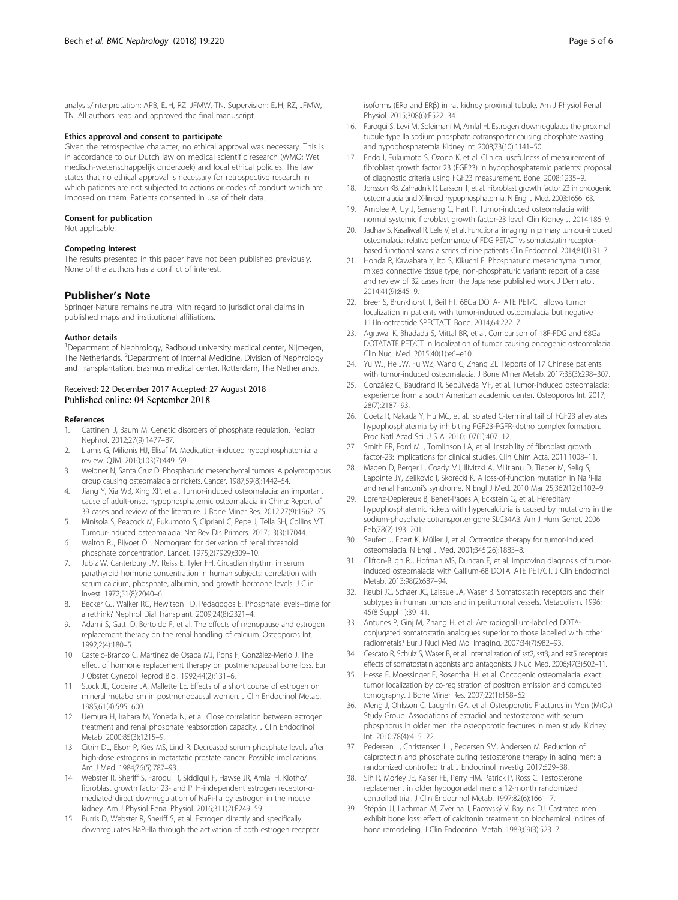<span id="page-4-0"></span>analysis/interpretation: APB, EJH, RZ, JFMW, TN. Supervision: EJH, RZ, JFMW, TN. All authors read and approved the final manuscript.

#### Ethics approval and consent to participate

Given the retrospective character, no ethical approval was necessary. This is in accordance to our Dutch law on medical scientific research (WMO; Wet medisch-wetenschappelijk onderzoek) and local ethical policies. The law states that no ethical approval is necessary for retrospective research in which patients are not subjected to actions or codes of conduct which are imposed on them. Patients consented in use of their data.

#### Consent for publication

Not applicable.

#### Competing interest

The results presented in this paper have not been published previously. None of the authors has a conflict of interest.

### Publisher's Note

Springer Nature remains neutral with regard to jurisdictional claims in published maps and institutional affiliations.

#### Author details

<sup>1</sup>Department of Nephrology, Radboud university medical center, Nijmegen, The Netherlands. <sup>2</sup>Department of Internal Medicine, Division of Nephrology and Transplantation, Erasmus medical center, Rotterdam, The Netherlands.

## Received: 22 December 2017 Accepted: 27 August 2018

#### References

- 1. Gattineni J, Baum M. Genetic disorders of phosphate regulation. Pediatr Nephrol. 2012;27(9):1477–87.
- Liamis G, Milionis HJ, Elisaf M. Medication-induced hypophosphatemia: a review. QJM. 2010;103(7):449–59.
- 3. Weidner N, Santa Cruz D. Phosphaturic mesenchymal tumors. A polymorphous group causing osteomalacia or rickets. Cancer. 1987;59(8):1442–54.
- 4. Jiang Y, Xia WB, Xing XP, et al. Tumor-induced osteomalacia: an important cause of adult-onset hypophosphatemic osteomalacia in China: Report of 39 cases and review of the literature. J Bone Miner Res. 2012;27(9):1967–75.
- 5. Minisola S, Peacock M, Fukumoto S, Cipriani C, Pepe J, Tella SH, Collins MT. Tumour-induced osteomalacia. Nat Rev Dis Primers. 2017;13(3):17044.
- 6. Walton RJ, Bijvoet OL. Nomogram for derivation of renal threshold phosphate concentration. Lancet. 1975;2(7929):309–10.
- 7. Jubiz W, Canterbury JM, Reiss E, Tyler FH. Circadian rhythm in serum parathyroid hormone concentration in human subjects: correlation with serum calcium, phosphate, albumin, and growth hormone levels. J Clin Invest. 1972;51(8):2040–6.
- 8. Becker GJ, Walker RG, Hewitson TD, Pedagogos E. Phosphate levels--time for a rethink? Nephrol Dial Transplant. 2009;24(8):2321–4.
- Adami S, Gatti D, Bertoldo F, et al. The effects of menopause and estrogen replacement therapy on the renal handling of calcium. Osteoporos Int. 1992;2(4):180–5.
- 10. Castelo-Branco C, Martínez de Osaba MJ, Pons F, González-Merlo J. The effect of hormone replacement therapy on postmenopausal bone loss. Eur J Obstet Gynecol Reprod Biol. 1992;44(2):131–6.
- 11. Stock JL, Coderre JA, Mallette LE. Effects of a short course of estrogen on mineral metabolism in postmenopausal women. J Clin Endocrinol Metab. 1985;61(4):595–600.
- 12. Uemura H, Irahara M, Yoneda N, et al. Close correlation between estrogen treatment and renal phosphate reabsorption capacity. J Clin Endocrinol Metab. 2000;85(3):1215–9.
- 13. Citrin DL, Elson P, Kies MS, Lind R. Decreased serum phosphate levels after high-dose estrogens in metastatic prostate cancer. Possible implications. Am J Med. 1984;76(5):787–93.
- 14. Webster R, Sheriff S, Faroqui R, Siddiqui F, Hawse JR, Amlal H. Klotho/ fibroblast growth factor 23- and PTH-independent estrogen receptor-αmediated direct downregulation of NaPi-IIa by estrogen in the mouse kidney. Am J Physiol Renal Physiol. 2016;311(2):F249–59.
- 15. Burris D, Webster R, Sheriff S, et al. Estrogen directly and specifically downregulates NaPi-IIa through the activation of both estrogen receptor

isoforms (ERα and ERβ) in rat kidney proximal tubule. Am J Physiol Renal Physiol. 2015;308(6):F522–34.

- 16. Faroqui S, Levi M, Soleimani M, Amlal H. Estrogen downregulates the proximal tubule type IIa sodium phosphate cotransporter causing phosphate wasting and hypophosphatemia. Kidney Int. 2008;73(10):1141–50.
- 17. Endo I, Fukumoto S, Ozono K, et al. Clinical usefulness of measurement of fibroblast growth factor 23 (FGF23) in hypophosphatemic patients: proposal of diagnostic criteria using FGF23 measurement. Bone. 2008:1235–9.
- 18. Jonsson KB, Zahradnik R, Larsson T, et al. Fibroblast growth factor 23 in oncogenic osteomalacia and X-linked hypophosphatemia. N Engl J Med. 2003:1656–63.
- 19. Amblee A, Uy J, Senseng C, Hart P. Tumor-induced osteomalacia with normal systemic fibroblast growth factor-23 level. Clin Kidney J. 2014:186–9.
- 20. Jadhav S, Kasaliwal R, Lele V, et al. Functional imaging in primary tumour-induced osteomalacia: relative performance of FDG PET/CT vs somatostatin receptorbased functional scans: a series of nine patients. Clin Endocrinol. 2014;81(1):31–7.
- 21. Honda R, Kawabata Y, Ito S, Kikuchi F. Phosphaturic mesenchymal tumor, mixed connective tissue type, non-phosphaturic variant: report of a case and review of 32 cases from the Japanese published work. J Dermatol. 2014;41(9):845–9.
- 22. Breer S, Brunkhorst T, Beil FT. 68Ga DOTA-TATE PET/CT allows tumor localization in patients with tumor-induced osteomalacia but negative 111In-octreotide SPECT/CT. Bone. 2014;64:222–7.
- 23. Agrawal K, Bhadada S, Mittal BR, et al. Comparison of 18F-FDG and 68Ga DOTATATE PET/CT in localization of tumor causing oncogenic osteomalacia. Clin Nucl Med. 2015;40(1):e6–e10.
- 24. Yu WJ, He JW, Fu WZ, Wang C, Zhang ZL. Reports of 17 Chinese patients with tumor-induced osteomalacia. J Bone Miner Metab. 2017;35(3):298–307.
- 25. González G, Baudrand R, Sepúlveda MF, et al. Tumor-induced osteomalacia: experience from a south American academic center. Osteoporos Int. 2017; 28(7):2187–93.
- 26. Goetz R, Nakada Y, Hu MC, et al. Isolated C-terminal tail of FGF23 alleviates hypophosphatemia by inhibiting FGF23-FGFR-klotho complex formation. Proc Natl Acad Sci U S A. 2010;107(1):407–12.
- 27. Smith ER, Ford ML, Tomlinson LA, et al. Instability of fibroblast growth factor-23: implications for clinical studies. Clin Chim Acta. 2011:1008–11.
- 28. Magen D, Berger L, Coady MJ, Ilivitzki A, Militianu D, Tieder M, Selig S, Lapointe JY, Zelikovic I, Skorecki K. A loss-of-function mutation in NaPi-IIa and renal Fanconi's syndrome. N Engl J Med. 2010 Mar 25;362(12):1102–9.
- 29. Lorenz-Depiereux B, Benet-Pages A, Eckstein G, et al. Hereditary hypophosphatemic rickets with hypercalciuria is caused by mutations in the sodium-phosphate cotransporter gene SLC34A3. Am J Hum Genet. 2006 Feb;78(2):193–201.
- 30. Seufert J, Ebert K, Müller J, et al. Octreotide therapy for tumor-induced osteomalacia. N Engl J Med. 2001;345(26):1883–8.
- 31. Clifton-Bligh RJ, Hofman MS, Duncan E, et al. Improving diagnosis of tumorinduced osteomalacia with Gallium-68 DOTATATE PET/CT. J Clin Endocrinol Metab. 2013;98(2):687–94.
- 32. Reubi JC, Schaer JC, Laissue JA, Waser B. Somatostatin receptors and their subtypes in human tumors and in peritumoral vessels. Metabolism. 1996; 45(8 Suppl 1):39–41.
- 33. Antunes P, Ginj M, Zhang H, et al. Are radiogallium-labelled DOTAconjugated somatostatin analogues superior to those labelled with other radiometals? Eur J Nucl Med Mol Imaging. 2007;34(7):982–93.
- 34. Cescato R, Schulz S, Waser B, et al. Internalization of sst2, sst3, and sst5 receptors: effects of somatostatin agonists and antagonists. J Nucl Med. 2006;47(3):502–11.
- 35. Hesse E, Moessinger E, Rosenthal H, et al. Oncogenic osteomalacia: exact tumor localization by co-registration of positron emission and computed tomography. J Bone Miner Res. 2007;22(1):158–62.
- 36. Meng J, Ohlsson C, Laughlin GA, et al. Osteoporotic Fractures in Men (MrOs) Study Group. Associations of estradiol and testosterone with serum phosphorus in older men: the osteoporotic fractures in men study. Kidney Int. 2010;78(4):415–22.
- 37. Pedersen L, Christensen LL, Pedersen SM, Andersen M. Reduction of calprotectin and phosphate during testosterone therapy in aging men: a randomized controlled trial. J Endocrinol Investig. 2017:529–38.
- 38. Sih R, Morley JE, Kaiser FE, Perry HM, Patrick P, Ross C. Testosterone replacement in older hypogonadal men: a 12-month randomized controlled trial. J Clin Endocrinol Metab. 1997;82(6):1661–7.
- 39. Stĕpán JJ, Lachman M, Zvĕrina J, Pacovský V, Baylink DJ. Castrated men exhibit bone loss: effect of calcitonin treatment on biochemical indices of bone remodeling. J Clin Endocrinol Metab. 1989;69(3):523–7.